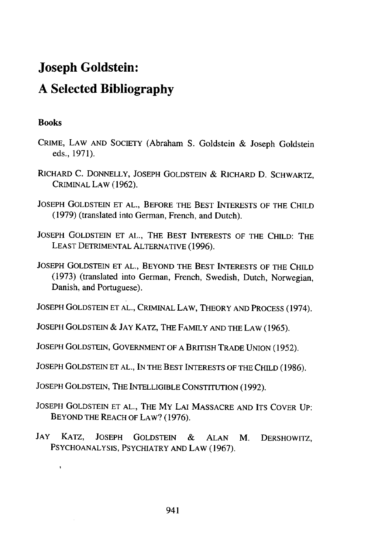## Joseph Goldstein: **A** Selected Bibliography

## **Books**

- CRIME, LAW **AND SOCIETY** (Abraham **S.** Goldstein **&** Joseph Goldstein eds., **1971).**
- RICHARD **C. DONNELLY, JOSEPH GOLDSTEIN &** RICHARD **D.** SCHWARTZ, CRIMINAL LAW (1962).
- **JOSEPH GOLDSTEIN ET AL.,** BEFORE THE **BEST** INTERESTS OF THE **CHILD (1979)** (translated into German, French, and Dutch).
- JOSEPH GOLDSTEIN ET AL., THE BEST INTERESTS OF THE CHILD: THE LEAST DETRIMENTAL ALTERNATIVE (1996).
- JOSEPH GOLDSTEIN ET AL., BEYOND THE BEST INTERESTS OF THE CHILD **(1973)** (translated into German, French, Swedish, Dutch, Norwegian, Danish, and Portuguese).

JOSEPH GOLDSTEIN ET AL., CRIMINAL LAW, THEORY AND PROCESS (1974).

JOSEPH GOLDSTEIN & JAY KATZ, THE FAMILY **AND** THE LAW (1965).

JOSEPH GOLDSTEIN, GOVERNMENT OF A BRITISH TRADE UNION (1952).

JOSEPH GOLDSTEIN ET AL., IN THE BEST INTERESTS OF THE CHILD (1986).

JOSEPH GOLDSTEIN, THE INTELLIGIBLE CONSTITUTION (1992).

- JOSEPH GOLDSTEIN ET AL., THE MY LAI MASSACRE AND ITS COVER UP: BEYOND THE REACH OF LAW? **(1976).**
- JAY KATZ, JOSEPH GOLDSTEIN & ALAN M. DERSHOWITZ, PSYCHOANALYSIS, PSYCHIATRY AND LAW (1967).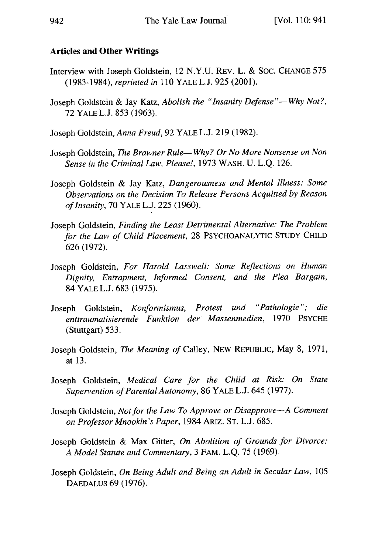## Articles **and Other Writings**

- Interview with Joseph Goldstein, 12 **N.Y.U.** REv. L. **& SOC. CHANGE 575 (1983-1984),** *reprinted in* **110** YALE **L.J. 925** (2001).
- Joseph Goldstein **&** Jay Katz, *Abolish the "Insanity Defense"-Why Not?,* **72** YALE L.J. **853 (1963).**
- Joseph Goldstein, *Anna Freud,* **92** YALE **L.J. 219** (1982).
- Joseph Goldstein, *The Brawner Rule- Why? Or No More Nonsense on Non Sense in the Criminal Law, Please!,* **1973** WASH. **U. L.Q.** 126.
- Joseph Goldstein **&** Jay Katz, *Dangerousness and Mental Illness: Some Observations on the Decision To Release Persons Acquitted by Reason of Insanity,* **70** YALE **L.J.** 225 **(1960).**
- Joseph Goldstein, *Finding the Least Detrimental Alternative: The Problem for the Law of Child Placement,* 28 PSYCHOANALYTIC STUDY CHILD 626 (1972).
- Joseph Goldstein, *For Harold Lasswell: Some Reflections on Human Dignity, Entrapment, Informed Consent, and the Plea Bargain,* 84 YALE L.J. 683 (1975).
- Joseph Goldstein, *Konformismus, Protest und "Pathologie"; die enttraumatisierende Funktion der Massenmedien,* 1970 PSYCHE (Stuttgart) 533.
- Joseph Goldstein, *The Meaning of* Calley, NEW REPUBLIC, May 8, 1971, at **13.**
- Joseph Goldstein, *Medical Care for the Child at Risk: On State Supervention of Parental Autonomy,* 86 YALE L.J. 645 (1977).
- Joseph Goldstein, *Not for the Law To Approve or Disapprove-A Comment on Professor Mnookin's Paper,* 1984 ARiz. ST. L.J. 685.
- Joseph Goldstein & Max Gitter, *On Abolition of Grounds for Divorce: A Model Statute and Commentary,* 3 FAM. L.Q. 75 (1969).
- Joseph Goldstein, *On Being Adult and Being an Adult in Secular Law,* 105 DAEDALUS 69 (1976).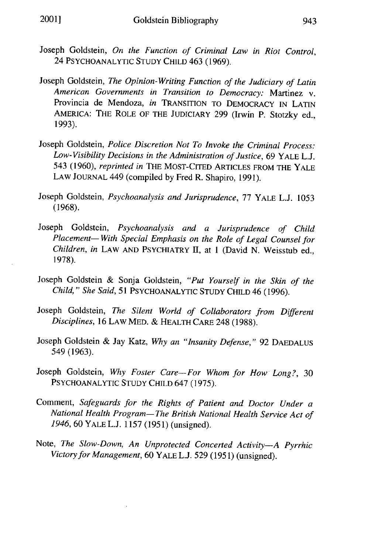- Joseph Goldstein, *On the Function of Criminal Law in Riot Control,* 24 PSYCHOANALYTIC STUDY CHILD 463 (1969).
- Joseph Goldstein, *The Opinion-Writing Function of the Judiciary of Latin American Governments in Transition to Democracy:* Martinez v. Provincia de Mendoza, *in* TRANSITION TO DEMOCRACY IN LATIN AMERICA: THE ROLE OF THE JUDICIARY 299 (Irwin P. Stotzky ed., 1993).
- Joseph Goldstein, *Police Discretion Not To Invoke the Criminal Process: Low- Visibility Decisions in the Administration of Justice,* 69 YALE L.J. 543 (1960), *reprinted in* THE MOST-CITED ARTICLES FROM THE YALE LAW JOURNAL 449 (compiled by Fred R. Shapiro, 1991).
- Joseph Goldstein, *Psychoanalysis and Jurisprudence,* 77 YALE L.J. 1053 (1968).
- Joseph Goldstein, *Psychoanalysis and a Jurisprudence of Child Placement- With Special Emphasis on the Role of Legal Counsel for Children, in* LAW AND PSYCHIATRY II, at **I** (David N. Weisstub ed., 1978).
- Joseph Goldstein & Sonja Goldstein, *"Put Yourself in the Skin of the Child," She Said,* 51 PSYCHOANALYTIC STUDY CHILD 46 (1996).
- Joseph Goldstein, *The Silent World of Collaborators from Different Disciplines,* 16 LAW MED. & HEALTH CARE 248 (1988).
- Joseph Goldstein & Jay Katz, *Why an "Insanity Defense,"* 92 DAEDALUS 549 (1963).
- Joseph Goldstein, *Why Foster Care-For Whom for How Long?,* <sup>30</sup> PSYCHOANALYTIC STUDY CHILD 647 (1975).
- Comment, *Safeguards for the Rights of Patient and Doctor Under a National Health Program- The British National Health Service Act of 1946,* 60 YALE L.J. 1157 (1951) (unsigned).
- Note, *The Slow-Down, An Unprotected Concerted Activity-A Pyrrhic Victory for Management,* 60 YALE L.J. 529 (1951) (unsigned).